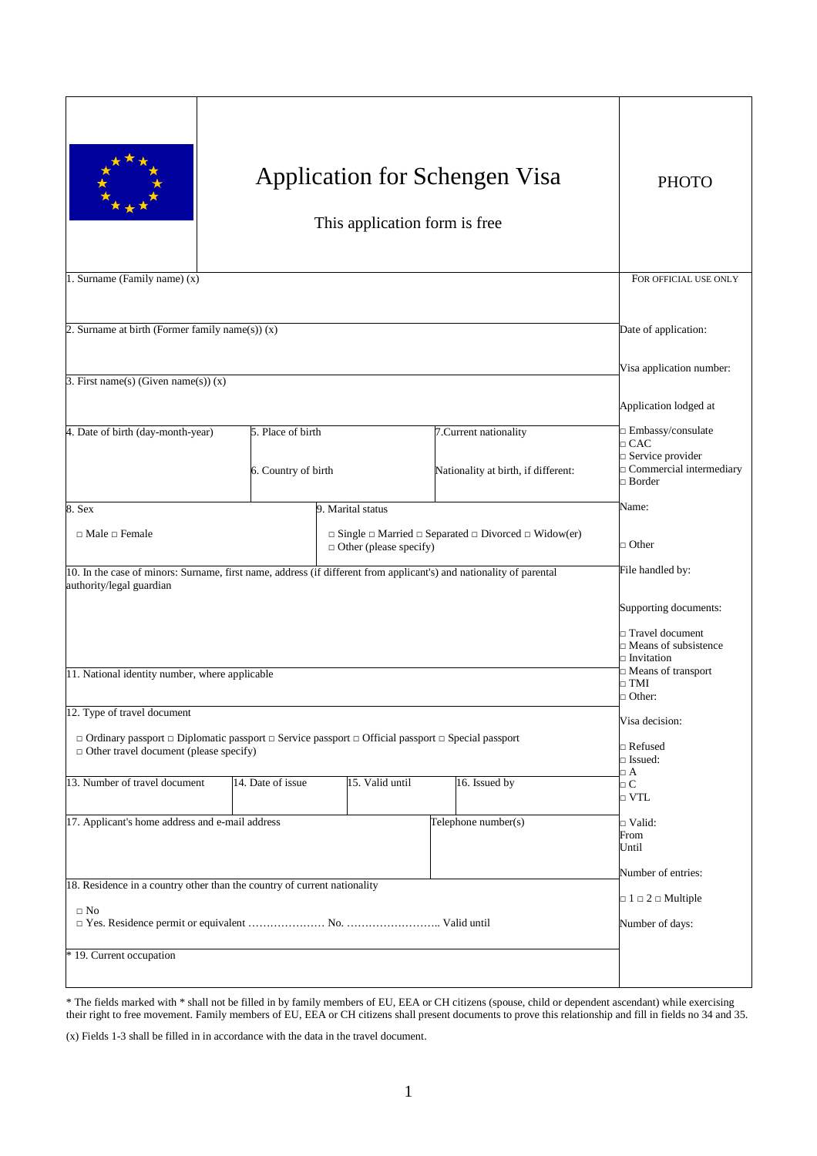|                                                                                                                                                                               | <b>Application for Schengen Visa</b><br>This application form is free                                                                                              | <b>PHOTO</b>      |                                                               |                                                                                                                 |
|-------------------------------------------------------------------------------------------------------------------------------------------------------------------------------|--------------------------------------------------------------------------------------------------------------------------------------------------------------------|-------------------|---------------------------------------------------------------|-----------------------------------------------------------------------------------------------------------------|
| 1. Surname (Family name) (x)                                                                                                                                                  |                                                                                                                                                                    |                   |                                                               | FOR OFFICIAL USE ONLY                                                                                           |
| 2. Surname at birth (Former family name(s)) (x)                                                                                                                               | Date of application:                                                                                                                                               |                   |                                                               |                                                                                                                 |
| 3. First name(s) (Given name(s)) $(x)$                                                                                                                                        |                                                                                                                                                                    |                   |                                                               | Visa application number:                                                                                        |
|                                                                                                                                                                               |                                                                                                                                                                    |                   |                                                               | Application lodged at                                                                                           |
| 4. Date of birth (day-month-year)                                                                                                                                             | 5. Place of birth<br>6. Country of birth                                                                                                                           |                   | 7. Current nationality<br>Nationality at birth, if different: | □ Embassy/consulate<br>$\Box$ CAC<br>$\Box$ Service provider<br>$\Box$ Commercial intermediary<br>$\Box$ Border |
| 8. Sex                                                                                                                                                                        |                                                                                                                                                                    | 9. Marital status |                                                               | Name:                                                                                                           |
| $\Box$ Male $\Box$ Female                                                                                                                                                     | $\Box$ Single $\Box$ Married $\Box$ Separated $\Box$ Divorced $\Box$ Widow(er)<br>$\Box$ Other (please specify)                                                    |                   |                                                               | $\Box$ Other                                                                                                    |
| 10. In the case of minors: Surname, first name, address (if different from applicant's) and nationality of parental<br>authority/legal guardian                               | File handled by:                                                                                                                                                   |                   |                                                               |                                                                                                                 |
| 11. National identity number, where applicable                                                                                                                                | Supporting documents:<br>$\Box$ Travel document<br>$\Box$ Means of subsistence<br>$\square$ Invitation<br>$\Box$ Means of transport<br>$\Box$ TMI<br>$\Box$ Other: |                   |                                                               |                                                                                                                 |
| 12. Type of travel document                                                                                                                                                   | Visa decision:                                                                                                                                                     |                   |                                                               |                                                                                                                 |
| $\Box$ Ordinary passport $\Box$ Diplomatic passport $\Box$ Service passport $\Box$ Official passport $\Box$ Special passport<br>$\Box$ Other travel document (please specify) | $\Box$ Refused<br>$\Box$ Issued:                                                                                                                                   |                   |                                                               |                                                                                                                 |
| 13. Number of travel document                                                                                                                                                 | 14. Date of issue                                                                                                                                                  | 15. Valid until   | 16. Issued by                                                 | $\Box$ A<br>$\Box$ C<br>$\Box$ VTL                                                                              |
| 17. Applicant's home address and e-mail address<br>Telephone number(s)                                                                                                        |                                                                                                                                                                    |                   |                                                               | $\Box$ Valid:<br>From<br>Until<br>Number of entries:                                                            |
| 18. Residence in a country other than the country of current nationality                                                                                                      | $\Box$ 1 $\Box$ 2 $\Box$ Multiple                                                                                                                                  |                   |                                                               |                                                                                                                 |
| $\square$ No                                                                                                                                                                  |                                                                                                                                                                    |                   |                                                               | Number of days:                                                                                                 |
| * 19. Current occupation                                                                                                                                                      |                                                                                                                                                                    |                   |                                                               |                                                                                                                 |

\* The fields marked with \* shall not be filled in by family members of EU, EEA or CH citizens (spouse, child or dependent ascendant) while exercising their right to free movement. Family members of EU, EEA or CH citizens shall present documents to prove this relationship and fill in fields no 34 and 35.

(x) Fields 1-3 shall be filled in in accordance with the data in the travel document.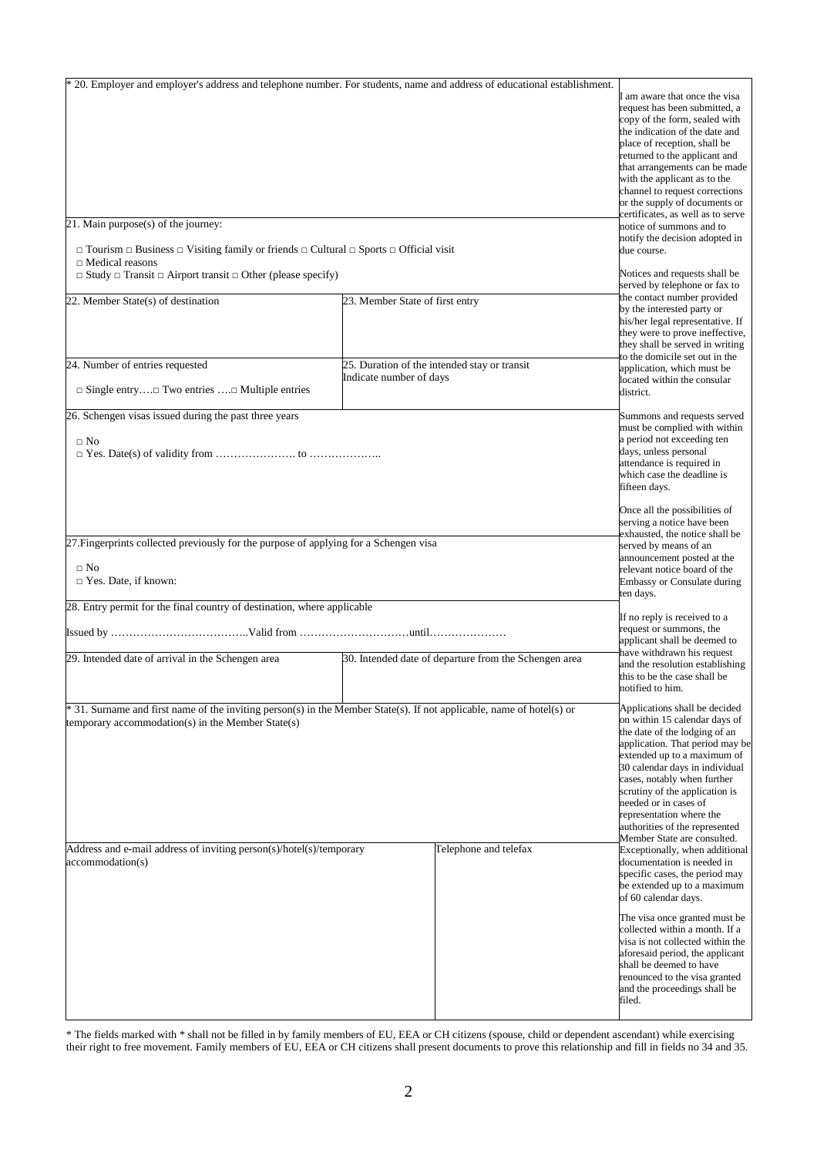| * 20. Employer and employer's address and telephone number. For students, name and address of educational establishment.<br>21. Main purpose(s) of the journey:<br>$\Box$ Tourism $\Box$ Business $\Box$ Visiting family or friends $\Box$ Cultural $\Box$ Sports $\Box$ Official visit |                                                                                                                                                                                                                                                                                                                                                                                            |                                              | I am aware that once the visa<br>request has been submitted, a<br>copy of the form, sealed with<br>the indication of the date and<br>place of reception, shall be<br>returned to the applicant and<br>that arrangements can be made<br>with the applicant as to the<br>channel to request corrections<br>or the supply of documents or<br>certificates, as well as to serve<br>notice of summons and to<br>notify the decision adopted in<br>due course. |  |
|-----------------------------------------------------------------------------------------------------------------------------------------------------------------------------------------------------------------------------------------------------------------------------------------|--------------------------------------------------------------------------------------------------------------------------------------------------------------------------------------------------------------------------------------------------------------------------------------------------------------------------------------------------------------------------------------------|----------------------------------------------|----------------------------------------------------------------------------------------------------------------------------------------------------------------------------------------------------------------------------------------------------------------------------------------------------------------------------------------------------------------------------------------------------------------------------------------------------------|--|
| $\Box$ Medical reasons<br>$\Box$ Study $\Box$ Transit $\Box$ Airport transit $\Box$ Other (please specify)                                                                                                                                                                              | Notices and requests shall be                                                                                                                                                                                                                                                                                                                                                              |                                              |                                                                                                                                                                                                                                                                                                                                                                                                                                                          |  |
| 22. Member State(s) of destination                                                                                                                                                                                                                                                      | 23. Member State of first entry                                                                                                                                                                                                                                                                                                                                                            |                                              | served by telephone or fax to<br>the contact number provided<br>by the interested party or<br>his/her legal representative. If<br>they were to prove ineffective,<br>they shall be served in writing                                                                                                                                                                                                                                                     |  |
| 24. Number of entries requested<br>$\Box$ Single entry $\Box$ Two entries $\Box$ Multiple entries                                                                                                                                                                                       | Indicate number of days                                                                                                                                                                                                                                                                                                                                                                    | 25. Duration of the intended stay or transit | to the domicile set out in the<br>application, which must be<br>located within the consular<br>district.                                                                                                                                                                                                                                                                                                                                                 |  |
| 26. Schengen visas issued during the past three years<br>$\Box$ No                                                                                                                                                                                                                      |                                                                                                                                                                                                                                                                                                                                                                                            |                                              | Summons and requests served<br>must be complied with within<br>a period not exceeding ten<br>days, unless personal<br>attendance is required in<br>which case the deadline is<br>fifteen days.                                                                                                                                                                                                                                                           |  |
| 27. Fingerprints collected previously for the purpose of applying for a Schengen visa<br>$\Box$ No<br>$\Box$ Yes. Date, if known:                                                                                                                                                       | Once all the possibilities of<br>serving a notice have been<br>exhausted, the notice shall be<br>served by means of an<br>announcement posted at the<br>relevant notice board of the<br>Embassy or Consulate during<br>ten days.                                                                                                                                                           |                                              |                                                                                                                                                                                                                                                                                                                                                                                                                                                          |  |
| 28. Entry permit for the final country of destination, where applicable                                                                                                                                                                                                                 |                                                                                                                                                                                                                                                                                                                                                                                            |                                              | If no reply is received to a<br>request or summons, the                                                                                                                                                                                                                                                                                                                                                                                                  |  |
| 29. Intended date of arrival in the Schengen area                                                                                                                                                                                                                                       | applicant shall be deemed to<br>have withdrawn his request<br>30. Intended date of departure from the Schengen area<br>and the resolution establishing<br>this to be the case shall be<br>notified to him.                                                                                                                                                                                 |                                              |                                                                                                                                                                                                                                                                                                                                                                                                                                                          |  |
| * 31. Surname and first name of the inviting person(s) in the Member State(s). If not applicable, name of hotel(s) or<br>temporary accommodation(s) in the Member State(s)                                                                                                              | Applications shall be decided<br>on within 15 calendar days of<br>the date of the lodging of an<br>application. That period may be<br>extended up to a maximum of<br>30 calendar days in individual<br>cases, notably when further<br>scrutiny of the application is<br>needed or in cases of<br>representation where the<br>authorities of the represented<br>Member State are consulted. |                                              |                                                                                                                                                                                                                                                                                                                                                                                                                                                          |  |
| Address and e-mail address of inviting person(s)/hotel(s)/temporary<br>accommodation(s)                                                                                                                                                                                                 |                                                                                                                                                                                                                                                                                                                                                                                            | Telephone and telefax                        | Exceptionally, when additional<br>documentation is needed in<br>specific cases, the period may<br>be extended up to a maximum<br>of 60 calendar days.                                                                                                                                                                                                                                                                                                    |  |
|                                                                                                                                                                                                                                                                                         |                                                                                                                                                                                                                                                                                                                                                                                            |                                              | The visa once granted must be<br>collected within a month. If a<br>visa is not collected within the<br>aforesaid period, the applicant<br>shall be deemed to have<br>renounced to the visa granted<br>and the proceedings shall be<br>filed.                                                                                                                                                                                                             |  |

\* The fields marked with \* shall not be filled in by family members of EU, EEA or CH citizens (spouse, child or dependent ascendant) while exercising their right to free movement. Family members of EU, EEA or CH citizens shall present documents to prove this relationship and fill in fields no 34 and 35.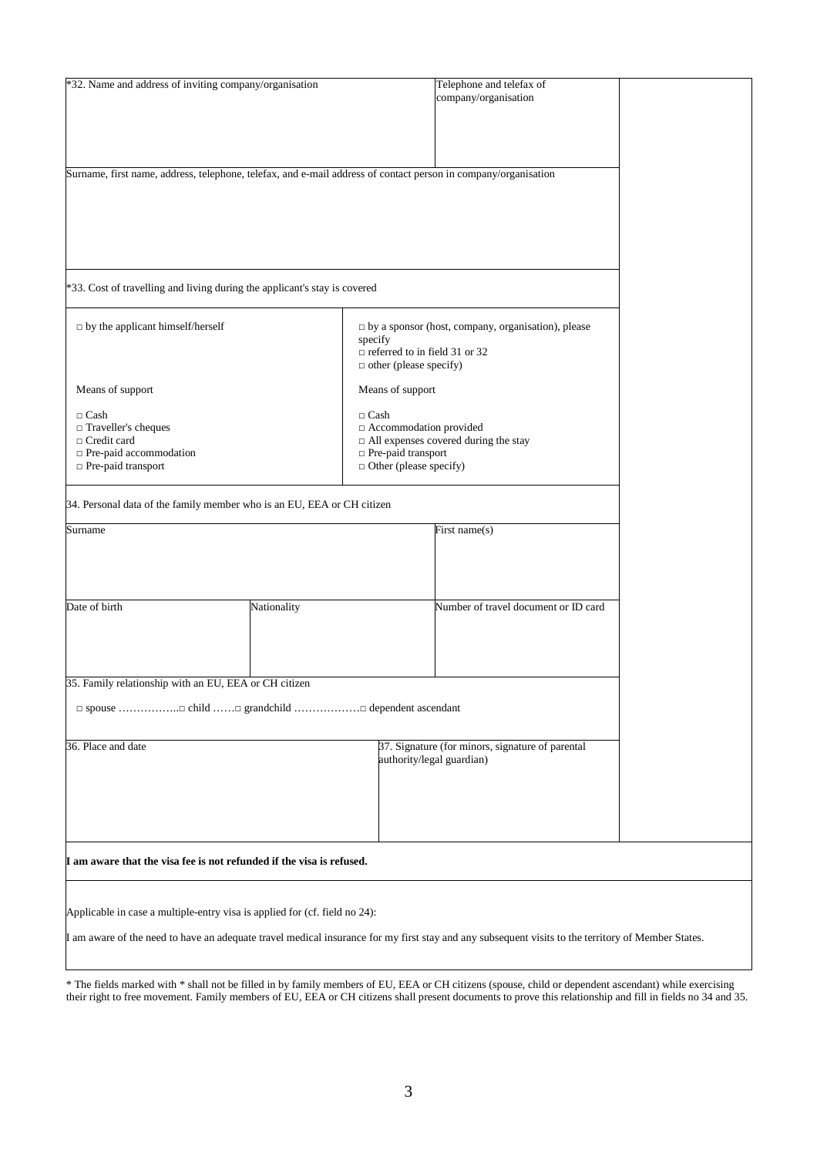| *32. Name and address of inviting company/organisation                                                                                             | Telephone and telefax of                                                                                       |  |  |  |  |  |
|----------------------------------------------------------------------------------------------------------------------------------------------------|----------------------------------------------------------------------------------------------------------------|--|--|--|--|--|
|                                                                                                                                                    | company/organisation                                                                                           |  |  |  |  |  |
|                                                                                                                                                    |                                                                                                                |  |  |  |  |  |
|                                                                                                                                                    |                                                                                                                |  |  |  |  |  |
|                                                                                                                                                    |                                                                                                                |  |  |  |  |  |
|                                                                                                                                                    |                                                                                                                |  |  |  |  |  |
|                                                                                                                                                    |                                                                                                                |  |  |  |  |  |
|                                                                                                                                                    | Surname, first name, address, telephone, telefax, and e-mail address of contact person in company/organisation |  |  |  |  |  |
|                                                                                                                                                    |                                                                                                                |  |  |  |  |  |
|                                                                                                                                                    |                                                                                                                |  |  |  |  |  |
|                                                                                                                                                    |                                                                                                                |  |  |  |  |  |
|                                                                                                                                                    |                                                                                                                |  |  |  |  |  |
|                                                                                                                                                    |                                                                                                                |  |  |  |  |  |
|                                                                                                                                                    |                                                                                                                |  |  |  |  |  |
|                                                                                                                                                    |                                                                                                                |  |  |  |  |  |
| *33. Cost of travelling and living during the applicant's stay is covered                                                                          |                                                                                                                |  |  |  |  |  |
|                                                                                                                                                    |                                                                                                                |  |  |  |  |  |
|                                                                                                                                                    |                                                                                                                |  |  |  |  |  |
| $\Box$ by the applicant himself/herself                                                                                                            | $\Box$ by a sponsor (host, company, organisation), please<br>specify                                           |  |  |  |  |  |
|                                                                                                                                                    | $\Box$ referred to in field 31 or 32                                                                           |  |  |  |  |  |
|                                                                                                                                                    | $\Box$ other (please specify)                                                                                  |  |  |  |  |  |
|                                                                                                                                                    |                                                                                                                |  |  |  |  |  |
| Means of support                                                                                                                                   | Means of support                                                                                               |  |  |  |  |  |
|                                                                                                                                                    |                                                                                                                |  |  |  |  |  |
| $\Box$ Cash                                                                                                                                        | $\Box$ Cash                                                                                                    |  |  |  |  |  |
| □ Traveller's cheques                                                                                                                              | Accommodation provided                                                                                         |  |  |  |  |  |
| $\Box$ Credit card                                                                                                                                 | $\Box$ All expenses covered during the stay                                                                    |  |  |  |  |  |
| □ Pre-paid accommodation                                                                                                                           | Pre-paid transport                                                                                             |  |  |  |  |  |
| □ Pre-paid transport                                                                                                                               | $\Box$ Other (please specify)                                                                                  |  |  |  |  |  |
|                                                                                                                                                    |                                                                                                                |  |  |  |  |  |
|                                                                                                                                                    |                                                                                                                |  |  |  |  |  |
| 34. Personal data of the family member who is an EU, EEA or CH citizen                                                                             |                                                                                                                |  |  |  |  |  |
| Surname                                                                                                                                            | First name(s)                                                                                                  |  |  |  |  |  |
|                                                                                                                                                    |                                                                                                                |  |  |  |  |  |
|                                                                                                                                                    |                                                                                                                |  |  |  |  |  |
|                                                                                                                                                    |                                                                                                                |  |  |  |  |  |
|                                                                                                                                                    |                                                                                                                |  |  |  |  |  |
|                                                                                                                                                    |                                                                                                                |  |  |  |  |  |
| Date of birth<br>Nationality                                                                                                                       | Number of travel document or ID card                                                                           |  |  |  |  |  |
|                                                                                                                                                    |                                                                                                                |  |  |  |  |  |
|                                                                                                                                                    |                                                                                                                |  |  |  |  |  |
|                                                                                                                                                    |                                                                                                                |  |  |  |  |  |
|                                                                                                                                                    |                                                                                                                |  |  |  |  |  |
|                                                                                                                                                    |                                                                                                                |  |  |  |  |  |
| 35. Family relationship with an EU, EEA or CH citizen                                                                                              |                                                                                                                |  |  |  |  |  |
|                                                                                                                                                    |                                                                                                                |  |  |  |  |  |
|                                                                                                                                                    |                                                                                                                |  |  |  |  |  |
|                                                                                                                                                    |                                                                                                                |  |  |  |  |  |
| 36. Place and date                                                                                                                                 | 37. Signature (for minors, signature of parental                                                               |  |  |  |  |  |
|                                                                                                                                                    | authority/legal guardian)                                                                                      |  |  |  |  |  |
|                                                                                                                                                    |                                                                                                                |  |  |  |  |  |
|                                                                                                                                                    |                                                                                                                |  |  |  |  |  |
|                                                                                                                                                    |                                                                                                                |  |  |  |  |  |
|                                                                                                                                                    |                                                                                                                |  |  |  |  |  |
|                                                                                                                                                    |                                                                                                                |  |  |  |  |  |
|                                                                                                                                                    |                                                                                                                |  |  |  |  |  |
|                                                                                                                                                    |                                                                                                                |  |  |  |  |  |
| I am aware that the visa fee is not refunded if the visa is refused.                                                                               |                                                                                                                |  |  |  |  |  |
|                                                                                                                                                    |                                                                                                                |  |  |  |  |  |
|                                                                                                                                                    |                                                                                                                |  |  |  |  |  |
| Applicable in case a multiple-entry visa is applied for (cf. field no 24):                                                                         |                                                                                                                |  |  |  |  |  |
|                                                                                                                                                    |                                                                                                                |  |  |  |  |  |
| I am aware of the need to have an adequate travel medical insurance for my first stay and any subsequent visits to the territory of Member States. |                                                                                                                |  |  |  |  |  |
|                                                                                                                                                    |                                                                                                                |  |  |  |  |  |
|                                                                                                                                                    |                                                                                                                |  |  |  |  |  |

\* The fields marked with \* shall not be filled in by family members of EU, EEA or CH citizens (spouse, child or dependent ascendant) while exercising their right to free movement. Family members of EU, EEA or CH citizens shall present documents to prove this relationship and fill in fields no 34 and 35.